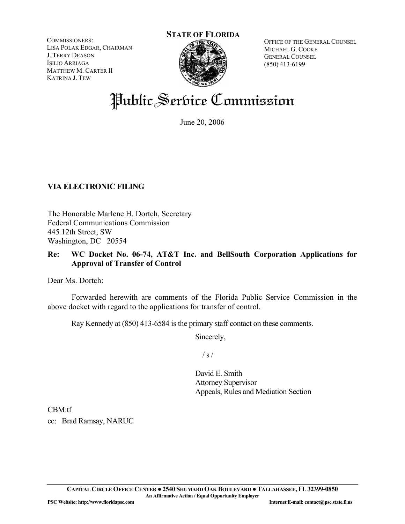COMMISSIONERS: LISA POLAK EDGAR, CHAIRMAN J. TERRY DEASON ISILIO ARRIAGA MATTHEW M. CARTER II KATRINA J. TEW

# **STATE OF FLORIDA**

OFFICE OF THE GENERAL COUNSEL MICHAEL G. COOKE GENERAL COUNSEL (850) 413-6199

## Public Service Commission

June 20, 2006

### **VIA ELECTRONIC FILING**

The Honorable Marlene H. Dortch, Secretary Federal Communications Commission 445 12th Street, SW Washington, DC 20554

#### **Re: WC Docket No. 06-74, AT&T Inc. and BellSouth Corporation Applications for Approval of Transfer of Control**

Dear Ms. Dortch:

 Forwarded herewith are comments of the Florida Public Service Commission in the above docket with regard to the applications for transfer of control.

Ray Kennedy at (850) 413-6584 is the primary staff contact on these comments.

Sincerely,

 $/ s /$ 

David E. Smith Attorney Supervisor Appeals, Rules and Mediation Section

CBM:tf cc: Brad Ramsay, NARUC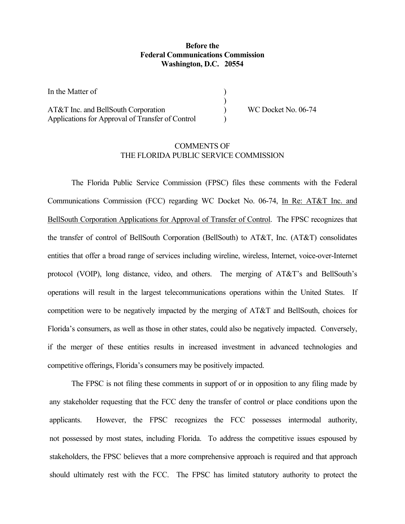#### **Before the Federal Communications Commission Washington, D.C. 20554**

) ) ) )

In the Matter of

AT&T Inc. and BellSouth Corporation Applications for Approval of Transfer of Control WC Docket No. 06-74

#### COMMENTS OF THE FLORIDA PUBLIC SERVICE COMMISSION

The Florida Public Service Commission (FPSC) files these comments with the Federal Communications Commission (FCC) regarding WC Docket No. 06-74, In Re: AT&T Inc. and BellSouth Corporation Applications for Approval of Transfer of Control. The FPSC recognizes that the transfer of control of BellSouth Corporation (BellSouth) to AT&T, Inc. (AT&T) consolidates entities that offer a broad range of services including wireline, wireless, Internet, voice-over-Internet protocol (VOIP), long distance, video, and others. The merging of AT&T's and BellSouth's operations will result in the largest telecommunications operations within the United States. If competition were to be negatively impacted by the merging of AT&T and BellSouth, choices for Florida's consumers, as well as those in other states, could also be negatively impacted. Conversely, if the merger of these entities results in increased investment in advanced technologies and competitive offerings, Florida's consumers may be positively impacted.

The FPSC is not filing these comments in support of or in opposition to any filing made by any stakeholder requesting that the FCC deny the transfer of control or place conditions upon the applicants. However, the FPSC recognizes the FCC possesses intermodal authority, not possessed by most states, including Florida. To address the competitive issues espoused by stakeholders, the FPSC believes that a more comprehensive approach is required and that approach should ultimately rest with the FCC. The FPSC has limited statutory authority to protect the